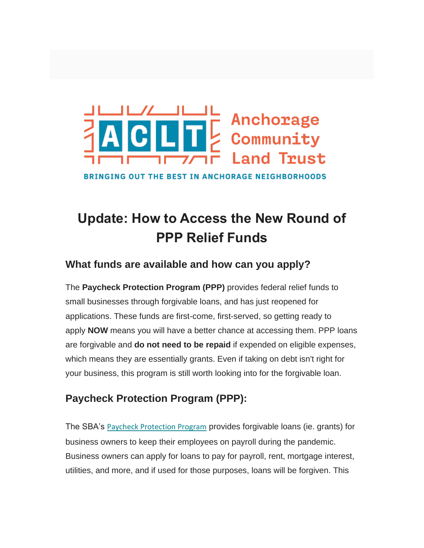

**BRINGING OUT THE BEST IN ANCHORAGE NEIGHBORHOODS** 

# **Update: How to Access the New Round of PPP Relief Funds**

## **What funds are available and how can you apply?**

The **Paycheck Protection Program (PPP)** provides federal relief funds to small businesses through forgivable loans, and has just reopened for applications. These funds are first-come, first-served, so getting ready to apply **NOW** means you will have a better chance at accessing them. PPP loans are forgivable and **do not need to be repaid** if expended on eligible expenses, which means they are essentially grants. Even if taking on debt isn't right for your business, this program is still worth looking into for the forgivable loan.

## **Paycheck Protection Program (PPP):**

The SBA's [P](https://anchoragelandtrust.us12.list-manage.com/track/click?u=b757f2be6f6639ce1390589eb&id=01561fef4f&e=1d22c08c81)[aycheck Protection Program](https://anchoragelandtrust.us12.list-manage.com/track/click?u=b757f2be6f6639ce1390589eb&id=1efb5a751e&e=1d22c08c81) provides forgivable loans (ie. grants) for business owners to keep their employees on payroll during the pandemic. Business owners can apply for loans to pay for payroll, rent, mortgage interest, utilities, and more, and if used for those purposes, loans will be forgiven. This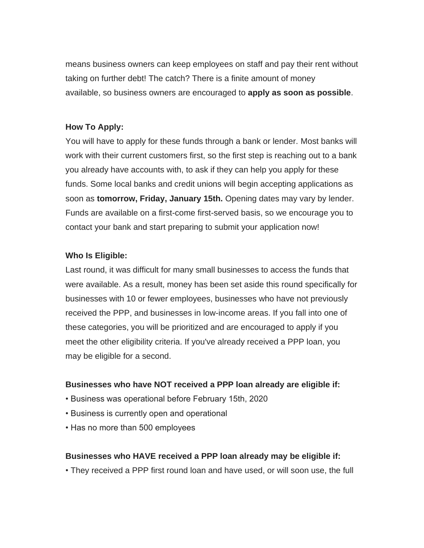means business owners can keep employees on staff and pay their rent without taking on further debt! The catch? There is a finite amount of money available, so business owners are encouraged to **apply as soon as possible**.

#### **How To Apply:**

You will have to apply for these funds through a bank or lender. Most banks will work with their current customers first, so the first step is reaching out to a bank you already have accounts with, to ask if they can help you apply for these funds. Some local banks and credit unions will begin accepting applications as soon as **tomorrow, Friday, January 15th.** Opening dates may vary by lender. Funds are available on a first-come first-served basis, so we encourage you to contact your bank and start preparing to submit your application now!

#### **Who Is Eligible:**

Last round, it was difficult for many small businesses to access the funds that were available. As a result, money has been set aside this round specifically for businesses with 10 or fewer employees, businesses who have not previously received the PPP, and businesses in low-income areas. If you fall into one of these categories, you will be prioritized and are encouraged to apply if you meet the other eligibility criteria. If you've already received a PPP loan, you may be eligible for a second.

#### **Businesses who have NOT received a PPP loan already are eligible if:**

- Business was operational before February 15th, 2020
- Business is currently open and operational
- Has no more than 500 employees

#### **Businesses who HAVE received a PPP loan already may be eligible if:**

• They received a PPP first round loan and have used, or will soon use, the full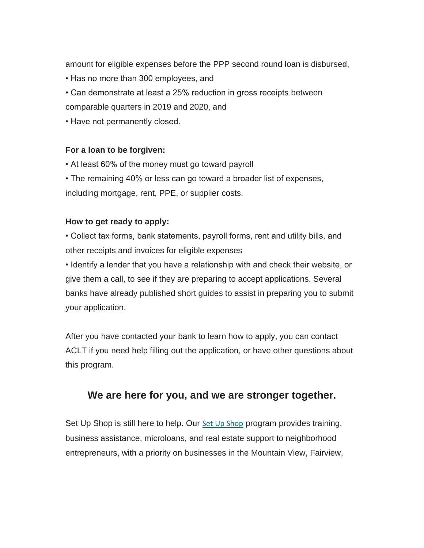amount for eligible expenses before the PPP second round loan is disbursed,

- Has no more than 300 employees, and
- Can demonstrate at least a 25% reduction in gross receipts between comparable quarters in 2019 and 2020, and
- Have not permanently closed.

#### **For a loan to be forgiven:**

- At least 60% of the money must go toward payroll
- The remaining 40% or less can go toward a broader list of expenses,

including mortgage, rent, PPE, or supplier costs.

#### **How to get ready to apply:**

• Collect tax forms, bank statements, payroll forms, rent and utility bills, and other receipts and invoices for eligible expenses

• Identify a lender that you have a relationship with and check their website, or give them a call, to see if they are preparing to accept applications. Several banks have already published short guides to assist in preparing you to submit your application.

After you have contacted your bank to learn how to apply, you can contact ACLT if you need help filling out the application, or have other questions about this program.

### **We are here for you, and we are stronger together.**

[Set Up Shop](https://anchoragelandtrust.us12.list-manage.com/track/click?u=b757f2be6f6639ce1390589eb&id=bf122eb19f&e=1d22c08c81) is still here to help. Our Set Up Shop program provides training, business assistance, microloans, and real estate support to neighborhood entrepreneurs, with a priority on businesses in the Mountain View, Fairview,